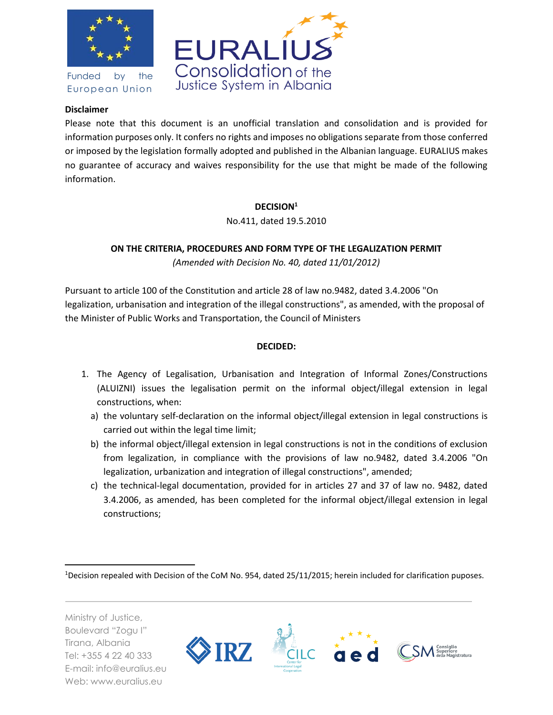

Funded by the European Union



## **Disclaimer**

Please note that this document is an unofficial translation and consolidation and is provided for information purposes only. It confers no rights and imposes no obligations separate from those conferred or imposed by the legislation formally adopted and published in the Albanian language. EURALIUS makes no guarantee of accuracy and waives responsibility for the use that might be made of the following information.

### **DECISION<sup>1</sup>**

No.411, dated 19.5.2010

# **ON THE CRITERIA, PROCEDURES AND FORM TYPE OF THE LEGALIZATION PERMIT**

*(Amended with Decision No. 40, dated 11/01/2012)* 

Pursuant to article 100 of the Constitution and article 28 of law no.9482, dated 3.4.2006 "On legalization, urbanisation and integration of the illegal constructions", as amended, with the proposal of the Minister of Public Works and Transportation, the Council of Ministers

### **DECIDED:**

- 1. The Agency of Legalisation, Urbanisation and Integration of Informal Zones/Constructions (ALUIZNI) issues the legalisation permit on the informal object/illegal extension in legal constructions, when:
	- a) the voluntary self-declaration on the informal object/illegal extension in legal constructions is carried out within the legal time limit;
	- b) the informal object/illegal extension in legal constructions is not in the conditions of exclusion from legalization, in compliance with the provisions of law no.9482, dated 3.4.2006 "On legalization, urbanization and integration of illegal constructions", amended;
	- c) the technical-legal documentation, provided for in articles 27 and 37 of law no. 9482, dated 3.4.2006, as amended, has been completed for the informal object/illegal extension in legal constructions;

 $\overline{a}$ <sup>1</sup>Decision repealed with Decision of the CoM No. 954, dated 25/11/2015; herein included for clarification puposes.

Ministry of Justice, Boulevard "Zogu I" Tirana, Albania Tel: +355 4 22 40 333 E-mail: info@euralius.eu Web: www.euralius.eu

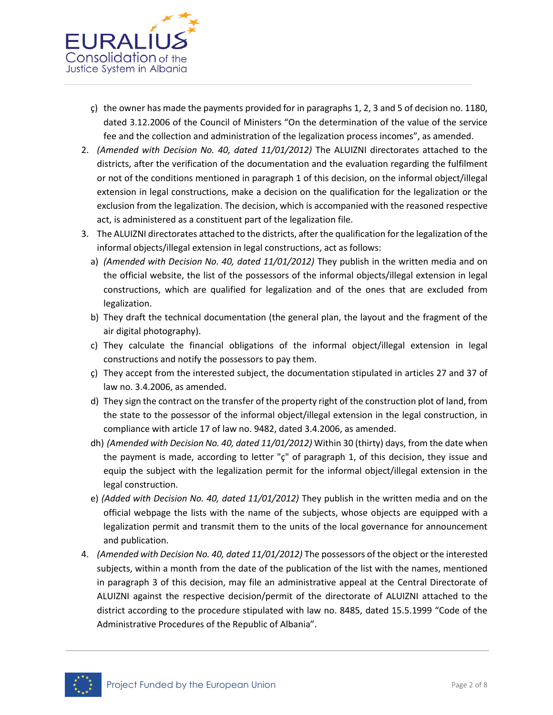

- ç) the owner has made the payments provided for in paragraphs 1, 2, 3 and 5 of decision no. 1180, dated 3.12.2006 of the Council of Ministers "On the determination of the value of the service fee and the collection and administration of the legalization process incomes", as amended.
- 2. *(Amended with Decision No. 40, dated 11/01/2012)* The ALUIZNI directorates attached to the districts, after the verification of the documentation and the evaluation regarding the fulfilment or not of the conditions mentioned in paragraph 1 of this decision, on the informal object/illegal extension in legal constructions, make a decision on the qualification for the legalization or the exclusion from the legalization. The decision, which is accompanied with the reasoned respective act, is administered as a constituent part of the legalization file.
- 3. The ALUIZNI directorates attached to the districts, after the qualification for the legalization of the informal objects/illegal extension in legal constructions, act as follows:
	- a) *(Amended with Decision No. 40, dated 11/01/2012)* They publish in the written media and on the official website, the list of the possessors of the informal objects/illegal extension in legal constructions, which are qualified for legalization and of the ones that are excluded from legalization.
	- b) They draft the technical documentation (the general plan, the layout and the fragment of the air digital photography).
	- c) They calculate the financial obligations of the informal object/illegal extension in legal constructions and notify the possessors to pay them.
	- ç) They accept from the interested subject, the documentation stipulated in articles 27 and 37 of law no. 3.4.2006, as amended.
	- d) They sign the contract on the transfer of the property right of the construction plot of land, from the state to the possessor of the informal object/illegal extension in the legal construction, in compliance with article 17 of law no. 9482, dated 3.4.2006, as amended.
	- dh) *(Amended with Decision No. 40, dated 11/01/2012)* Within 30 (thirty) days, from the date when the payment is made, according to letter "ç" of paragraph 1, of this decision, they issue and equip the subject with the legalization permit for the informal object/illegal extension in the legal construction.
	- e) *(Added with Decision No. 40, dated 11/01/2012)* They publish in the written media and on the official webpage the lists with the name of the subjects, whose objects are equipped with a legalization permit and transmit them to the units of the local governance for announcement and publication.
- 4. *(Amended with Decision No. 40, dated 11/01/2012)* The possessors of the object or the interested subjects, within a month from the date of the publication of the list with the names, mentioned in paragraph 3 of this decision, may file an administrative appeal at the Central Directorate of ALUIZNI against the respective decision/permit of the directorate of ALUIZNI attached to the district according to the procedure stipulated with law no. 8485, dated 15.5.1999 "Code of the Administrative Procedures of the Republic of Albania".

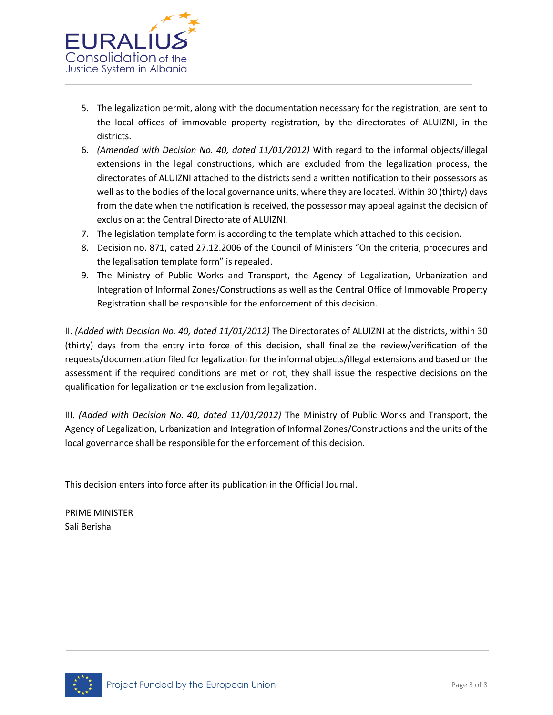

- 5. The legalization permit, along with the documentation necessary for the registration, are sent to the local offices of immovable property registration, by the directorates of ALUIZNI, in the districts.
- 6. *(Amended with Decision No. 40, dated 11/01/2012)* With regard to the informal objects/illegal extensions in the legal constructions, which are excluded from the legalization process, the directorates of ALUIZNI attached to the districts send a written notification to their possessors as well as to the bodies of the local governance units, where they are located. Within 30 (thirty) days from the date when the notification is received, the possessor may appeal against the decision of exclusion at the Central Directorate of ALUIZNI.
- 7. The legislation template form is according to the template which attached to this decision.
- 8. Decision no. 871, dated 27.12.2006 of the Council of Ministers "On the criteria, procedures and the legalisation template form" is repealed.
- 9. The Ministry of Public Works and Transport, the Agency of Legalization, Urbanization and Integration of Informal Zones/Constructions as well as the Central Office of Immovable Property Registration shall be responsible for the enforcement of this decision.

II. *(Added with Decision No. 40, dated 11/01/2012)* The Directorates of ALUIZNI at the districts, within 30 (thirty) days from the entry into force of this decision, shall finalize the review/verification of the requests/documentation filed for legalization for the informal objects/illegal extensions and based on the assessment if the required conditions are met or not, they shall issue the respective decisions on the qualification for legalization or the exclusion from legalization.

III. (Added with Decision No. 40, dated 11/01/2012) The Ministry of Public Works and Transport, the Agency of Legalization, Urbanization and Integration of Informal Zones/Constructions and the units of the local governance shall be responsible for the enforcement of this decision.

This decision enters into force after its publication in the Official Journal.

PRIME MINISTER Sali Berisha

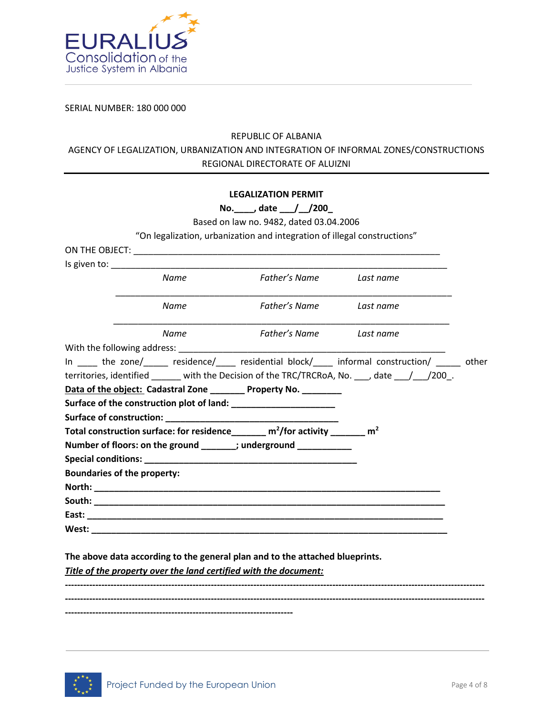

SERIAL NUMBER: 180 000 000

# REPUBLIC OF ALBANIA AGENCY OF LEGALIZATION, URBANIZATION AND INTEGRATION OF INFORMAL ZONES/CONSTRUCTIONS REGIONAL DIRECTORATE OF ALUIZNI

|                                                                                                     |      | <b>LEGALIZATION PERMIT</b>                                                                                                                                                                                                     |                                                                                                    |  |
|-----------------------------------------------------------------------------------------------------|------|--------------------------------------------------------------------------------------------------------------------------------------------------------------------------------------------------------------------------------|----------------------------------------------------------------------------------------------------|--|
|                                                                                                     |      | No. _____, date ____/ __/200_                                                                                                                                                                                                  |                                                                                                    |  |
|                                                                                                     |      | Based on law no. 9482, dated 03.04.2006                                                                                                                                                                                        |                                                                                                    |  |
|                                                                                                     |      | "On legalization, urbanization and integration of illegal constructions"                                                                                                                                                       |                                                                                                    |  |
|                                                                                                     |      |                                                                                                                                                                                                                                |                                                                                                    |  |
|                                                                                                     |      | Is given to: the same state of the state of the state of the state of the state of the state of the state of the state of the state of the state of the state of the state of the state of the state of the state of the state |                                                                                                    |  |
| Name                                                                                                |      | Father's Name                                                                                                                                                                                                                  | Last name                                                                                          |  |
|                                                                                                     | Name | Father's Name Last name                                                                                                                                                                                                        |                                                                                                    |  |
|                                                                                                     | Name | Father's Name Last name                                                                                                                                                                                                        |                                                                                                    |  |
|                                                                                                     |      |                                                                                                                                                                                                                                |                                                                                                    |  |
|                                                                                                     |      |                                                                                                                                                                                                                                | In _____ the zone/______ residence/_____ residential block/____ informal construction/ _____ other |  |
|                                                                                                     |      |                                                                                                                                                                                                                                | territories, identified ______ with the Decision of the TRC/TRCRoA, No. ___, date ___/___/200_.    |  |
|                                                                                                     |      | Data of the object: Cadastral Zone ________ Property No. ________                                                                                                                                                              |                                                                                                    |  |
|                                                                                                     |      | Surface of the construction plot of land: ________________________                                                                                                                                                             |                                                                                                    |  |
|                                                                                                     |      |                                                                                                                                                                                                                                |                                                                                                    |  |
| Total construction surface: for residence_______ m <sup>2</sup> /for activity ______ m <sup>2</sup> |      |                                                                                                                                                                                                                                |                                                                                                    |  |
|                                                                                                     |      | Number of floors: on the ground ______; underground __________                                                                                                                                                                 |                                                                                                    |  |
|                                                                                                     |      | Special conditions: Note that the set of the set of the set of the set of the set of the set of the set of the                                                                                                                 |                                                                                                    |  |
| <b>Boundaries of the property:</b>                                                                  |      |                                                                                                                                                                                                                                |                                                                                                    |  |
|                                                                                                     |      |                                                                                                                                                                                                                                |                                                                                                    |  |
|                                                                                                     |      |                                                                                                                                                                                                                                |                                                                                                    |  |
|                                                                                                     |      |                                                                                                                                                                                                                                |                                                                                                    |  |
|                                                                                                     |      |                                                                                                                                                                                                                                |                                                                                                    |  |
|                                                                                                     |      |                                                                                                                                                                                                                                |                                                                                                    |  |

**The above data according to the general plan and to the attached blueprints.** 

*Title of the property over the land certified with the document:* 

**------------------------------------------------------------------------------------------------------------------------------------------ ------------------------------------------------------------------------------------------------------------------------------------------ ---------------------------------------------------------------------------**

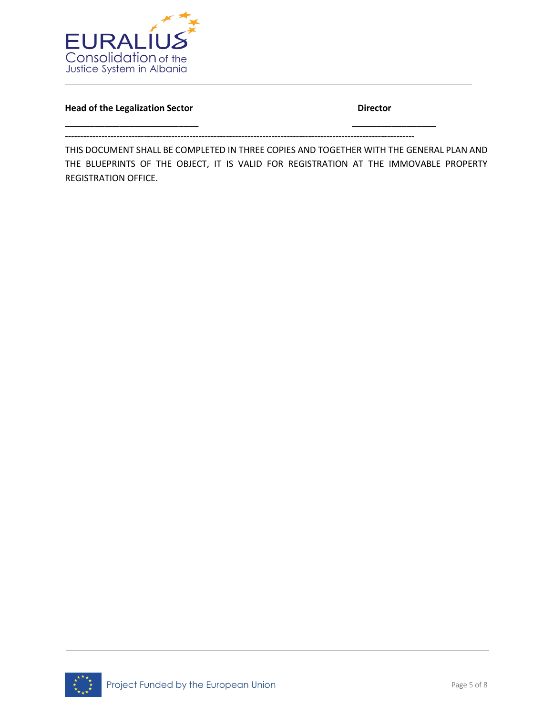

**Head of the Legalization Sector Contract Contract Contract Director Director** 

**-------------------------------------------------------------------------------------------------------------------**

**\_\_\_\_\_\_\_\_\_\_\_\_\_\_\_\_\_\_\_\_\_\_\_\_\_\_\_ \_\_\_\_\_\_\_\_\_\_\_\_\_\_\_\_\_**

THIS DOCUMENT SHALL BE COMPLETED IN THREE COPIES AND TOGETHER WITH THE GENERAL PLAN AND THE BLUEPRINTS OF THE OBJECT, IT IS VALID FOR REGISTRATION AT THE IMMOVABLE PROPERTY REGISTRATION OFFICE.

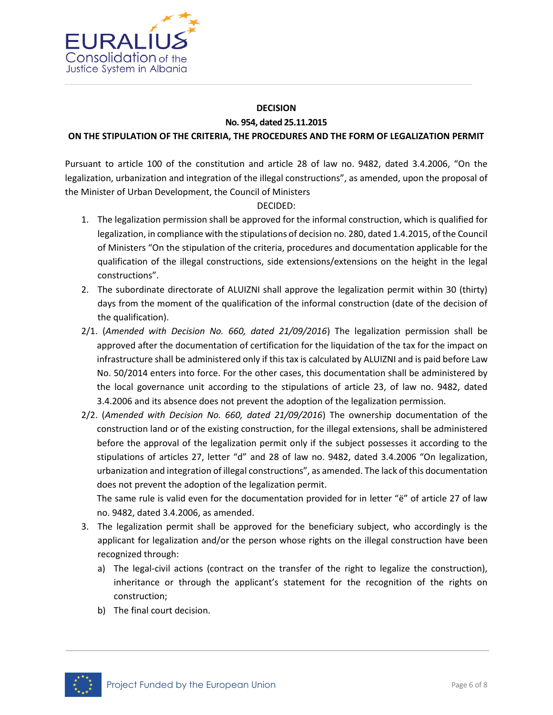

#### **DECISION No. 954, dated 25.11.2015**

#### **ON THE STIPULATION OF THE CRITERIA, THE PROCEDURES AND THE FORM OF LEGALIZATION PERMIT**

Pursuant to article 100 of the constitution and article 28 of law no. 9482, dated 3.4.2006, "On the legalization, urbanization and integration of the illegal constructions", as amended, upon the proposal of the Minister of Urban Development, the Council of Ministers

DECIDED:

- 1. The legalization permission shall be approved for the informal construction, which is qualified for legalization, in compliance with the stipulations of decision no. 280, dated 1.4.2015, of the Council of Ministers "On the stipulation of the criteria, procedures and documentation applicable for the qualification of the illegal constructions, side extensions/extensions on the height in the legal constructions".
- 2. The subordinate directorate of ALUIZNI shall approve the legalization permit within 30 (thirty) days from the moment of the qualification of the informal construction (date of the decision of the qualification).
- 2/1. (*Amended with Decision No. 660, dated 21/09/2016*) The legalization permission shall be approved after the documentation of certification for the liquidation of the tax for the impact on infrastructure shall be administered only if this tax is calculated by ALUIZNI and is paid before Law No. 50/2014 enters into force. For the other cases, this documentation shall be administered by the local governance unit according to the stipulations of article 23, of law no. 9482, dated 3.4.2006 and its absence does not prevent the adoption of the legalization permission.
- 2/2. (*Amended with Decision No. 660, dated 21/09/2016*) The ownership documentation of the construction land or of the existing construction, for the illegal extensions, shall be administered before the approval of the legalization permit only if the subject possesses it according to the stipulations of articles 27, letter "d" and 28 of law no. 9482, dated 3.4.2006 "On legalization, urbanization and integration of illegal constructions", as amended. The lack of this documentation does not prevent the adoption of the legalization permit.

The same rule is valid even for the documentation provided for in letter "ë" of article 27 of law no. 9482, dated 3.4.2006, as amended.

- 3. The legalization permit shall be approved for the beneficiary subject, who accordingly is the applicant for legalization and/or the person whose rights on the illegal construction have been recognized through:
	- a) The legal-civil actions (contract on the transfer of the right to legalize the construction), inheritance or through the applicant's statement for the recognition of the rights on construction;
	- b) The final court decision.

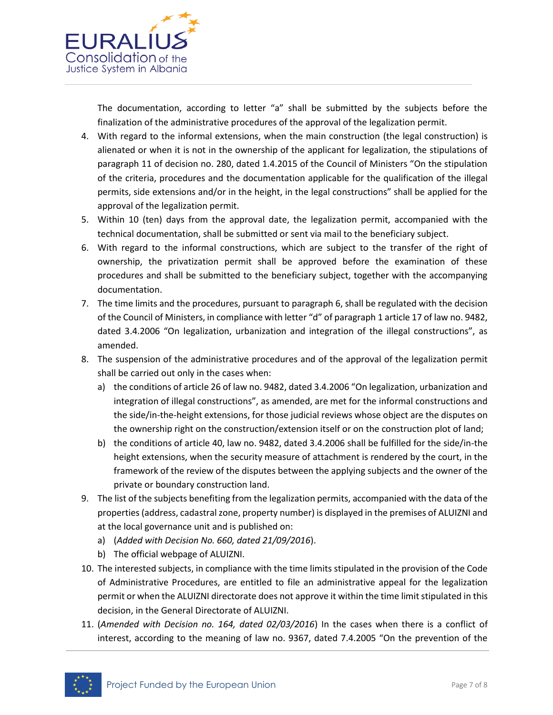

The documentation, according to letter "a" shall be submitted by the subjects before the finalization of the administrative procedures of the approval of the legalization permit.

- 4. With regard to the informal extensions, when the main construction (the legal construction) is alienated or when it is not in the ownership of the applicant for legalization, the stipulations of paragraph 11 of decision no. 280, dated 1.4.2015 of the Council of Ministers "On the stipulation of the criteria, procedures and the documentation applicable for the qualification of the illegal permits, side extensions and/or in the height, in the legal constructions" shall be applied for the approval of the legalization permit.
- 5. Within 10 (ten) days from the approval date, the legalization permit, accompanied with the technical documentation, shall be submitted or sent via mail to the beneficiary subject.
- 6. With regard to the informal constructions, which are subject to the transfer of the right of ownership, the privatization permit shall be approved before the examination of these procedures and shall be submitted to the beneficiary subject, together with the accompanying documentation.
- 7. The time limits and the procedures, pursuant to paragraph 6, shall be regulated with the decision of the Council of Ministers, in compliance with letter "d" of paragraph 1 article 17 of law no. 9482, dated 3.4.2006 "On legalization, urbanization and integration of the illegal constructions", as amended.
- 8. The suspension of the administrative procedures and of the approval of the legalization permit shall be carried out only in the cases when:
	- a) the conditions of article 26 of law no. 9482, dated 3.4.2006 "On legalization, urbanization and integration of illegal constructions", as amended, are met for the informal constructions and the side/in-the-height extensions, for those judicial reviews whose object are the disputes on the ownership right on the construction/extension itself or on the construction plot of land;
	- b) the conditions of article 40, law no. 9482, dated 3.4.2006 shall be fulfilled for the side/in-the height extensions, when the security measure of attachment is rendered by the court, in the framework of the review of the disputes between the applying subjects and the owner of the private or boundary construction land.
- 9. The list of the subjects benefiting from the legalization permits, accompanied with the data of the properties (address, cadastral zone, property number) is displayed in the premises of ALUIZNI and at the local governance unit and is published on:
	- a) (*Added with Decision No. 660, dated 21/09/2016*).
	- b) The official webpage of ALUIZNI.
- 10. The interested subjects, in compliance with the time limits stipulated in the provision of the Code of Administrative Procedures, are entitled to file an administrative appeal for the legalization permit or when the ALUIZNI directorate does not approve it within the time limit stipulated in this decision, in the General Directorate of ALUIZNI.
- 11. (*Amended with Decision no. 164, dated 02/03/2016*) In the cases when there is a conflict of interest, according to the meaning of law no. 9367, dated 7.4.2005 "On the prevention of the